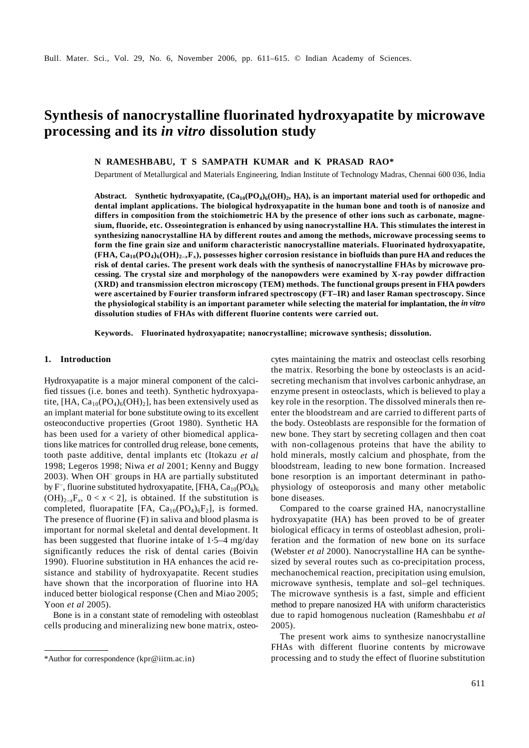# **Synthesis of nanocrystalline fluorinated hydroxyapatite by microwave processing and its** *in vitro* **dissolution study**

**N RAMESHBABU, T S SAMPATH KUMAR and K PRASAD RAO\*** 

Department of Metallurgical and Materials Engineering, Indian Institute of Technology Madras, Chennai 600 036, India

Abstract. Synthetic hydroxyapatite,  $(Ca_{10}(PO_4)_6(OH)_2, HA)$ , is an important material used for orthopedic and **dental implant applications. The biological hydroxyapatite in the human bone and tooth is of nanosize and differs in composition from the stoichiometric HA by the presence of other ions such as carbonate, magnesium, fluoride, etc. Osseointegration is enhanced by using nanocrystalline HA. This stimulates the interest in synthesizing nanocrystalline HA by different routes and among the methods, microwave processing seems to form the fine grain size and uniform characteristic nanocrystalline materials. Fluorinated hydroxyapatite,**   $(FHA, Ca_{10}(PO_4)_6(OH)_{2-x}F_x)$ , possesses higher corrosion resistance in biofluids than pure HA and reduces the **risk of dental caries. The present work deals with the synthesis of nanocrystalline FHAs by microwave processing. The crystal size and morphology of the nanopowders were examined by X-ray powder diffraction (XRD) and transmission electron microscopy (TEM) methods. The functional groups present in FHA powders were ascertained by Fourier transform infrared spectroscopy (FT–IR) and laser Raman spectroscopy. Since the physiological stability is an important parameter while selecting the material for implantation, the** *in vitro* **dissolution studies of FHAs with different fluorine contents were carried out.** 

**Keywords. Fluorinated hydroxyapatite; nanocrystalline; microwave synthesis; dissolution.** 

### **1. Introduction**

Hydroxyapatite is a major mineral component of the calcified tissues (i.e. bones and teeth). Synthetic hydroxyapatite, [HA,  $Ca_{10}(PO_4)_6(OH)_2$ ], has been extensively used as an implant material for bone substitute owing to its excellent osteoconductive properties (Groot 1980). Synthetic HA has been used for a variety of other biomedical applications like matrices for controlled drug release, bone cements, tooth paste additive, dental implants etc (Itokazu *et al* 1998; Legeros 1998; Niwa *et al* 2001; Kenny and Buggy 2003). When OH– groups in HA are partially substituted by  $F^-$ , fluorine substituted hydroxyapatite, [FHA,  $Ca_{10}(PO_4)_6$  $(OH)_{2-x}F_x$ ,  $0 < x < 2$ , is obtained. If the substitution is completed, fluorapatite [FA,  $Ca_{10}(PO_4)_6F_2$ ], is formed. The presence of fluorine (F) in saliva and blood plasma is important for normal skeletal and dental development. It has been suggested that fluorine intake of 1⋅5–4 mg/day significantly reduces the risk of dental caries (Boivin 1990). Fluorine substitution in HA enhances the acid resistance and stability of hydroxyapatite. Recent studies have shown that the incorporation of fluorine into HA induced better biological response (Chen and Miao 2005; Yoon *et al* 2005).

 Bone is in a constant state of remodeling with osteoblast cells producing and mineralizing new bone matrix, osteocytes maintaining the matrix and osteoclast cells resorbing the matrix. Resorbing the bone by osteoclasts is an acidsecreting mechanism that involves carbonic anhydrase, an enzyme present in osteoclasts, which is believed to play a key role in the resorption. The dissolved minerals then reenter the bloodstream and are carried to different parts of the body. Osteoblasts are responsible for the formation of new bone. They start by secreting collagen and then coat with non-collagenous proteins that have the ability to hold minerals, mostly calcium and phosphate, from the bloodstream, leading to new bone formation. Increased bone resorption is an important determinant in pathophysiology of osteoporosis and many other metabolic bone diseases.

 Compared to the coarse grained HA, nanocrystalline hydroxyapatite (HA) has been proved to be of greater biological efficacy in terms of osteoblast adhesion, proliferation and the formation of new bone on its surface (Webster *et al* 2000). Nanocrystalline HA can be synthesized by several routes such as co-precipitation process, mechanochemical reaction, precipitation using emulsion, microwave synthesis, template and sol–gel techniques. The microwave synthesis is a fast, simple and efficient method to prepare nanosized HA with uniform characteristics due to rapid homogenous nucleation (Rameshbabu *et al* 2005).

 The present work aims to synthesize nanocrystalline FHAs with different fluorine contents by microwave \*Author for correspondence (kpr@iitm.ac.in) processing and to study the effect of fluorine substitution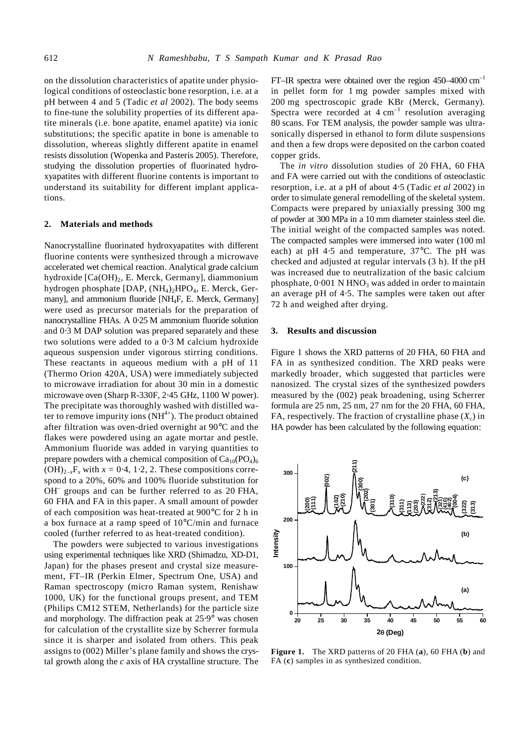on the dissolution characteristics of apatite under physiological conditions of osteoclastic bone resorption, i.e. at a pH between 4 and 5 (Tadic *et al* 2002). The body seems to fine-tune the solubility properties of its different apatite minerals (i.e. bone apatite, enamel apatite) via ionic substitutions; the specific apatite in bone is amenable to dissolution, whereas slightly different apatite in enamel resists dissolution (Wopenka and Pasteris 2005). Therefore, studying the dissolution properties of fluorinated hydroxyapatites with different fluorine contents is important to understand its suitability for different implant applications.

## **2. Materials and methods**

Nanocrystalline fluorinated hydroxyapatites with different fluorine contents were synthesized through a microwave accelerated wet chemical reaction. Analytical grade calcium hydroxide  $[Ca(OH)<sub>2</sub>, E. Merck, Germany]$ , diammonium hydrogen phosphate [DAP,  $(NH_4)$ <sub>2</sub>HPO<sub>4</sub>, E. Merck, Germany], and ammonium fluoride [NH4F, E. Merck, Germany] were used as precursor materials for the preparation of nanocrystalline FHAs. A 0⋅25 M ammonium fluoride solution and 0⋅3 M DAP solution was prepared separately and these two solutions were added to a 0⋅3 M calcium hydroxide aqueous suspension under vigorous stirring conditions. These reactants in aqueous medium with a pH of 11 (Thermo Orion 420A, USA) were immediately subjected to microwave irradiation for about 30 min in a domestic microwave oven (Sharp R-330F, 2⋅45 GHz, 1100 W power). The precipitate was thoroughly washed with distilled water to remove impurity ions  $(NH<sup>4+</sup>)$ . The product obtained after filtration was oven-dried overnight at 90°C and the flakes were powdered using an agate mortar and pestle. Ammonium fluoride was added in varying quantities to prepare powders with a chemical composition of  $Ca_{10}(PO_4)_6$  $(OH)_{2-x}F_x$  with  $x = 0.4$ , 1.2, 2. These compositions correspond to a 20%, 60% and 100% fluoride substitution for OH<sup>-</sup> groups and can be further referred to as 20 FHA, 60 FHA and FA in this paper. A small amount of powder of each composition was heat-treated at 900°C for 2 h in a box furnace at a ramp speed of 10°C/min and furnace cooled (further referred to as heat-treated condition).

 The powders were subjected to various investigations using experimental techniques like XRD (Shimadzu, XD-D1, Japan) for the phases present and crystal size measurement, FT–IR (Perkin Elmer, Spectrum One, USA) and Raman spectroscopy (micro Raman system, Renishaw 1000, UK) for the functional groups present, and TEM (Philips CM12 STEM, Netherlands) for the particle size and morphology. The diffraction peak at 25⋅9° was chosen for calculation of the crystallite size by Scherrer formula since it is sharper and isolated from others. This peak assigns to (002) Miller's plane family and shows the crystal growth along the *c* axis of HA crystalline structure. The

FT–IR spectra were obtained over the region  $450-4000$  cm<sup>-1</sup> in pellet form for 1 mg powder samples mixed with 200 mg spectroscopic grade KBr (Merck, Germany). Spectra were recorded at  $4 \text{ cm}^{-1}$  resolution averaging 80 scans. For TEM analysis, the powder sample was ultrasonically dispersed in ethanol to form dilute suspensions and then a few drops were deposited on the carbon coated copper grids.

 The *in vitro* dissolution studies of 20 FHA, 60 FHA and FA were carried out with the conditions of osteoclastic resorption, i.e. at a pH of about 4⋅5 (Tadic *et al* 2002) in order to simulate general remodelling of the skeletal system. Compacts were prepared by uniaxially pressing 300 mg of powder at 300 MPa in a 10 mm diameter stainless steel die. The initial weight of the compacted samples was noted. The compacted samples were immersed into water (100 ml each) at pH 4⋅5 and temperature, 37°C. The pH was checked and adjusted at regular intervals (3 h). If the pH was increased due to neutralization of the basic calcium phosphate,  $0.001$  N HNO<sub>3</sub> was added in order to maintain an average pH of 4⋅5. The samples were taken out after 72 h and weighed after drying.

# **3. Results and discussion**

Figure 1 shows the XRD patterns of 20 FHA, 60 FHA and FA in as synthesized condition. The XRD peaks were markedly broader, which suggested that particles were nanosized. The crystal sizes of the synthesized powders measured by the (002) peak broadening, using Scherrer formula are 25 nm, 25 nm, 27 nm for the 20 FHA, 60 FHA, FA, respectively. The fraction of crystalline phase  $(X_c)$  in HA powder has been calculated by the following equation:



**Figure 1.** The XRD patterns of 20 FHA (**a**), 60 FHA (**b**) and FA (**c**) samples in as synthesized condition.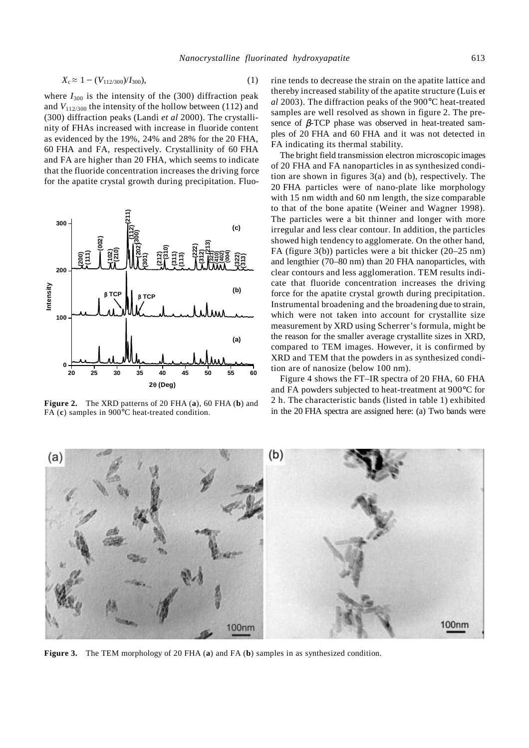where  $I_{300}$  is the intensity of the (300) diffraction peak and  $V_{112/300}$  the intensity of the hollow between (112) and (300) diffraction peaks (Landi *et al* 2000). The crystallinity of FHAs increased with increase in fluoride content as evidenced by the 19%, 24% and 28% for the 20 FHA, 60 FHA and FA, respectively. Crystallinity of 60 FHA and FA are higher than 20 FHA, which seems to indicate that the fluoride concentration increases the driving force for the apatite crystal growth during precipitation. Fluo-



**Figure 2.** The XRD patterns of 20 FHA (**a**), 60 FHA (**b**) and FA (**c**) samples in 900°C heat-treated condition.

rine tends to decrease the strain on the apatite lattice and thereby increased stability of the apatite structure (Luis e*t al* 2003). The diffraction peaks of the 900°C heat-treated samples are well resolved as shown in figure 2. The presence of  $\beta$ -TCP phase was observed in heat-treated samples of 20 FHA and 60 FHA and it was not detected in FA indicating its thermal stability.

 The bright field transmission electron microscopic images of 20 FHA and FA nanoparticles in as synthesized condition are shown in figures 3(a) and (b), respectively. The 20 FHA particles were of nano-plate like morphology with 15 nm width and 60 nm length, the size comparable to that of the bone apatite (Weiner and Wagner 1998). The particles were a bit thinner and longer with more irregular and less clear contour. In addition, the particles showed high tendency to agglomerate. On the other hand, FA (figure 3(b)) particles were a bit thicker (20–25 nm) and lengthier (70–80 nm) than 20 FHA nanoparticles, with clear contours and less agglomeration. TEM results indicate that fluoride concentration increases the driving force for the apatite crystal growth during precipitation. Instrumental broadening and the broadening due to strain, which were not taken into account for crystallite size measurement by XRD using Scherrer's formula, might be the reason for the smaller average crystallite sizes in XRD, compared to TEM images. However, it is confirmed by XRD and TEM that the powders in as synthesized condition are of nanosize (below 100 nm).

 Figure 4 shows the FT–IR spectra of 20 FHA, 60 FHA and FA powders subjected to heat-treatment at 900°C for 2 h. The characteristic bands (listed in table 1) exhibited in the 20 FHA spectra are assigned here: (a) Two bands were



**Figure 3.** The TEM morphology of 20 FHA (**a**) and FA (**b**) samples in as synthesized condition.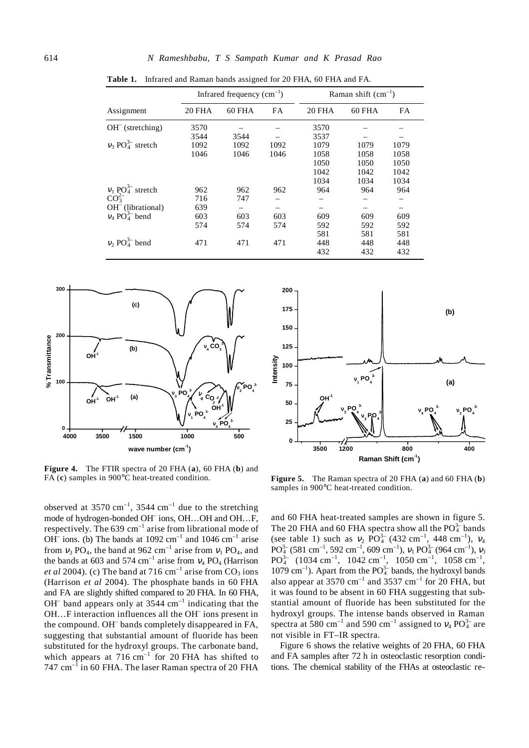|                                             | Infrared frequency $(cm^{-1})$ |        |      | Raman shift $(cm-1)$ |        |           |
|---------------------------------------------|--------------------------------|--------|------|----------------------|--------|-----------|
| Assignment                                  | 20 FHA                         | 60 FHA | FA   | <b>20 FHA</b>        | 60 FHA | <b>FA</b> |
| $OH^-$ (stretching)                         | 3570                           |        |      | 3570                 |        |           |
|                                             | 3544                           | 3544   |      | 3537                 |        |           |
| $v_3$ PO <sub>4</sub> <sup>3-</sup> stretch | 1092                           | 1092   | 1092 | 1079                 | 1079   | 1079      |
|                                             | 1046                           | 1046   | 1046 | 1058                 | 1058   | 1058      |
|                                             |                                |        |      | 1050                 | 1050   | 1050      |
|                                             |                                |        |      | 1042                 | 1042   | 1042      |
|                                             |                                |        |      | 1034                 | 1034   | 1034      |
| $v_1$ PO <sub>4</sub> <sup>3-</sup> stretch | 962                            | 962    | 962  | 964                  | 964    | 964       |
| CO <sub>3</sub> <sup>2</sup>                | 716                            | 747    |      |                      |        |           |
| OH <sup>-</sup> (librational)               | 639                            |        |      |                      |        |           |
| $v_4$ PO <sub>4</sub> <sup>5</sup> bend     | 603                            | 603    | 603  | 609                  | 609    | 609       |
|                                             | 574                            | 574    | 574  | 592                  | 592    | 592       |
|                                             |                                |        |      | 581                  | 581    | 581       |
| $v_2$ PO <sub>4</sub> <sup>3-</sup> bend    | 471                            | 471    | 471  | 448                  | 448    | 448       |
|                                             |                                |        |      | 432                  | 432    | 432       |

**Table 1.** Infrared and Raman bands assigned for 20 FHA, 60 FHA and FA.



**Figure 4.** The FTIR spectra of 20 FHA (**a**), 60 FHA (**b**) and FA (**c**) samples in 900°C heat-treated condition.

observed at 3570 cm<sup>-1</sup>, 3544 cm<sup>-1</sup> due to the stretching mode of hydrogen-bonded OH<sup>-</sup> ions, OH...OH and OH...F, respectively. The  $639 \text{ cm}^{-1}$  arise from librational mode of OH<sup>-</sup> ions. (b) The bands at 1092 cm<sup>-1</sup> and 1046 cm<sup>-1</sup> arise from  $v_3$  PO<sub>4</sub>, the band at 962 cm<sup>-1</sup> arise from  $v_1$  PO<sub>4</sub>, and the bands at 603 and 574 cm<sup>-1</sup> arise from  $v_4$  PO<sub>4</sub> (Harrison *et al* 2004). (c) The band at 716  $\text{cm}^{-1}$  arise from CO<sub>3</sub> ions (Harrison *et al* 2004). The phosphate bands in 60 FHA and FA are slightly shifted compared to 20 FHA. In 60 FHA,  $OH^-$  band appears only at 3544  $cm^{-1}$  indicating that the OH...F interaction influences all the OH ions present in the compound. OH– bands completely disappeared in FA, suggesting that substantial amount of fluoride has been substituted for the hydroxyl groups. The carbonate band, which appears at  $716 \text{ cm}^{-1}$  for 20 FHA has shifted to 747  $cm^{-1}$  in 60 FHA. The laser Raman spectra of 20 FHA



**Figure 5.** The Raman spectra of 20 FHA (**a**) and 60 FHA (**b**) samples in 900°C heat-treated condition.

and 60 FHA heat-treated samples are shown in figure 5. The 20 FHA and 60 FHA spectra show all the  $PO_4^{3-}$  bands (see table 1) such as  $v_2$  PO<sup>3</sup><sup>-</sup> (432 cm<sup>-1</sup>, 448 cm<sup>-1</sup>),  $v_4$  $PO_4^{3-}$  (581 cm<sup>-1</sup>, 592 cm<sup>-1</sup>, 609 cm<sup>-1</sup>),  $v_1 PO_4^{3-}$  (964 cm<sup>-1</sup>),  $v_3$  $PO_4^{3-}$  (1034 cm<sup>-1</sup>, 1042 cm<sup>-1</sup>, 1050 cm<sup>-1</sup>, 1058 cm<sup>-1</sup>, 1079 cm<sup>-1</sup>). Apart from the  $PO_4^{3-}$  bands, the hydroxyl bands also appear at 3570  $\text{cm}^{-1}$  and 3537  $\text{cm}^{-1}$  for 20 FHA, but it was found to be absent in 60 FHA suggesting that substantial amount of fluoride has been substituted for the hydroxyl groups. The intense bands observed in Raman spectra at 580 cm<sup>-1</sup> and 590 cm<sup>-1</sup> assigned to  $v_4$  PO $_4^{3-}$  are not visible in FT–IR spectra.

 Figure 6 shows the relative weights of 20 FHA, 60 FHA and FA samples after 72 h in osteoclastic resorption conditions. The chemical stability of the FHAs at osteoclastic re-